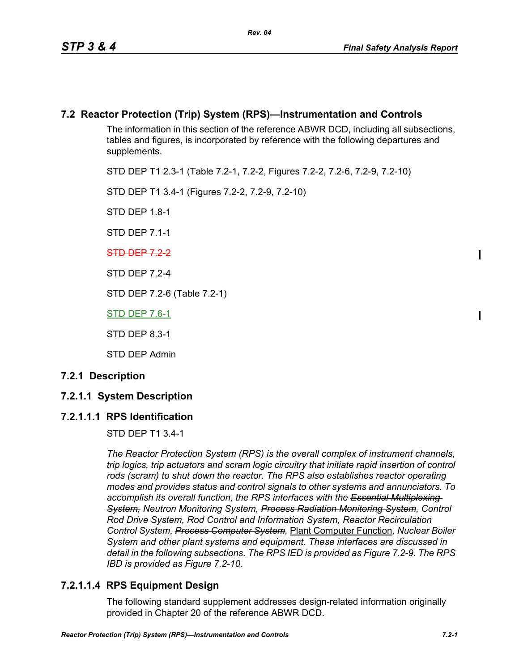## **7.2 Reactor Protection (Trip) System (RPS)—Instrumentation and Controls**

The information in this section of the reference ABWR DCD, including all subsections, tables and figures, is incorporated by reference with the following departures and supplements.

STD DEP T1 2.3-1 (Table 7.2-1, 7.2-2, Figures 7.2-2, 7.2-6, 7.2-9, 7.2-10)

STD DEP T1 3.4-1 (Figures 7.2-2, 7.2-9, 7.2-10)

STD DEP 1.8-1

STD DEP 7.1-1

### STD DEP 7.2-2

STD DEP 7.2-4

STD DEP 7.2-6 (Table 7.2-1)

STD DEP 7.6-1

STD DEP 8.3-1

STD DEP Admin

### **7.2.1 Description**

## **7.2.1.1 System Description**

## **7.2.1.1.1 RPS Identification**

STD DEP T1 3.4-1

*The Reactor Protection System (RPS) is the overall complex of instrument channels, trip logics, trip actuators and scram logic circuitry that initiate rapid insertion of control*  rods (scram) to shut down the reactor. The RPS also establishes reactor operating *modes and provides status and control signals to other systems and annunciators. To*  accomplish its overall function, the RPS interfaces with the Essential Multiplexing *System, Neutron Monitoring System, Process Radiation Monitoring System, Control Rod Drive System, Rod Control and Information System, Reactor Recirculation Control System, Process Computer System,* Plant Computer Function*, Nuclear Boiler System and other plant systems and equipment. These interfaces are discussed in detail in the following subsections. The RPS IED is provided as Figure 7.2-9. The RPS IBD is provided as Figure 7.2-10.*

## **7.2.1.1.4 RPS Equipment Design**

The following standard supplement addresses design-related information originally provided in Chapter 20 of the reference ABWR DCD.

I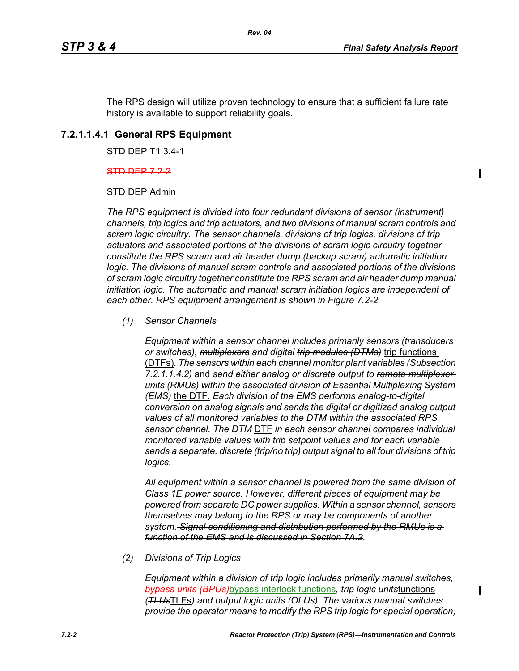ı

The RPS design will utilize proven technology to ensure that a sufficient failure rate history is available to support reliability goals.

## **7.2.1.1.4.1 General RPS Equipment**

STD DEP T1 3.4-1

#### STD DEP 7.2-2

STD DEP Admin

*The RPS equipment is divided into four redundant divisions of sensor (instrument) channels, trip logics and trip actuators, and two divisions of manual scram controls and scram logic circuitry. The sensor channels, divisions of trip logics, divisions of trip actuators and associated portions of the divisions of scram logic circuitry together constitute the RPS scram and air header dump (backup scram) automatic initiation logic. The divisions of manual scram controls and associated portions of the divisions of scram logic circuitry together constitute the RPS scram and air header dump manual initiation logic. The automatic and manual scram initiation logics are independent of each other. RPS equipment arrangement is shown in Figure 7.2-2.*

*(1) Sensor Channels*

*Equipment within a sensor channel includes primarily sensors (transducers or switches), multiplexers and digital trip modules (DTMs)* trip functions (DTFs)*. The sensors within each channel monitor plant variables (Subsection 7.2.1.1.4.2)* and *send either analog or discrete output to remote multiplexer units (RMUs) within the associated division of Essential Multiplexing System (EMS)* the DTF. *Each division of the EMS performs analog-to-digital conversion on analog signals and sends the digital or digitized analog output values of all monitored variables to the DTM within the associated RPS sensor channel. The DTM* DTF *in each sensor channel compares individual monitored variable values with trip setpoint values and for each variable sends a separate, discrete (trip/no trip) output signal to all four divisions of trip logics.*

*All equipment within a sensor channel is powered from the same division of Class 1E power source. However, different pieces of equipment may be powered from separate DC power supplies. Within a sensor channel, sensors themselves may belong to the RPS or may be components of another system. Signal conditioning and distribution performed by the RMUs is a function of the EMS and is discussed in Section 7A.2.*

*(2) Divisions of Trip Logics*

*Equipment within a division of trip logic includes primarily manual switches, bypass units (BPUs)*bypass interlock functions*, trip logic units*functions *(TLUs*TLFs*) and output logic units (OLUs). The various manual switches provide the operator means to modify the RPS trip logic for special operation,*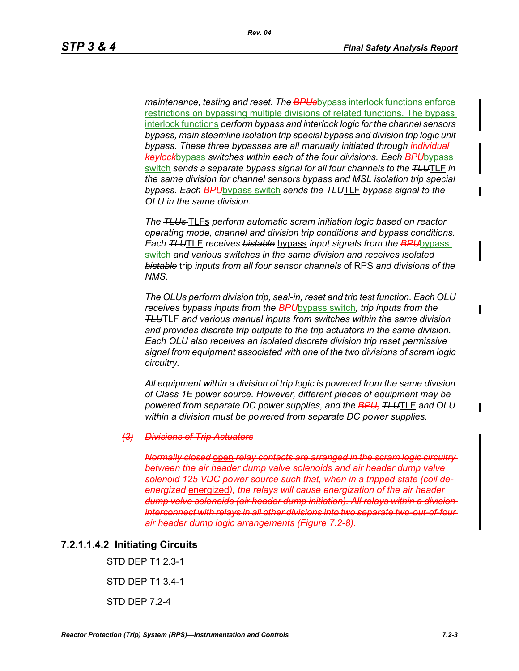*maintenance, testing and reset. The BPUs*bypass interlock functions enforce restrictions on bypassing multiple divisions of related functions. The bypass interlock functions *perform bypass and interlock logic for the channel sensors bypass, main steamline isolation trip special bypass and division trip logic unit bypass. These three bypasses are all manually initiated through individual keylock*bypass *switches within each of the four divisions. Each BPU*bypass switch *sends a separate bypass signal for all four channels to the TLU*TLF *in the same division for channel sensors bypass and MSL isolation trip special bypass. Each BPU*bypass switch *sends the TLU*TLF *bypass signal to the OLU in the same division.*

*The TLUs* TLFs *perform automatic scram initiation logic based on reactor operating mode, channel and division trip conditions and bypass conditions. Each TLU*TLF *receives bistable* bypass *input signals from the BPU*bypass switch *and various switches in the same division and receives isolated bistable* trip *inputs from all four sensor channels* of RPS *and divisions of the NMS.*

*The OLUs perform division trip, seal-in, reset and trip test function. Each OLU receives bypass inputs from the BPU*bypass switch*, trip inputs from the TLU*TLF *and various manual inputs from switches within the same division and provides discrete trip outputs to the trip actuators in the same division. Each OLU also receives an isolated discrete division trip reset permissive signal from equipment associated with one of the two divisions of scram logic circuitry.*

*All equipment within a division of trip logic is powered from the same division of Class 1E power source. However, different pieces of equipment may be powered from separate DC power supplies, and the BPU, TLU*TLF *and OLU within a division must be powered from separate DC power supplies.*

#### *(3) Divisions of Trip Actuators*

*Normally closed* open *relay contacts are arranged in the scram logic circuitry between the air header dump valve solenoids and air header dump valve solenoid 125 VDC power source such that, when in a tripped state (coil deenergized* energized*), the relays will cause energization of the air header dump valve solenoids (air header dump initiation). All relays within a division interconnect with relays in all other divisions into two separate two-out-of-four air header dump logic arrangements (Figure 7.2-8).*

#### **7.2.1.1.4.2 Initiating Circuits**

STD DEP T1 2.3-1 STD DEP T1 3.4-1 STD DEP 7.2-4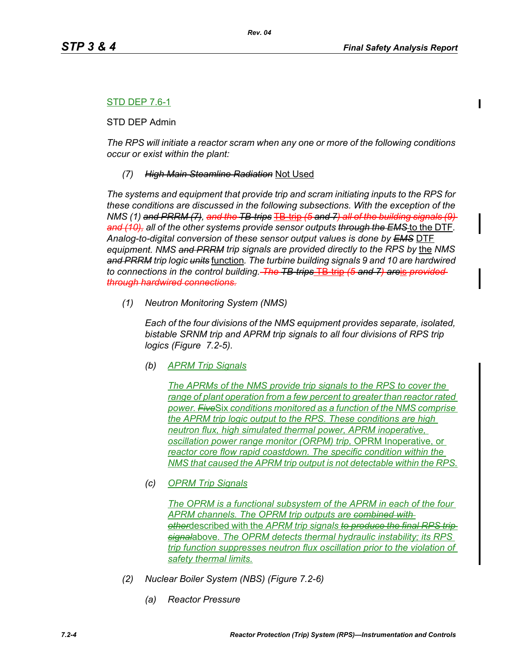## STD DEP 7.6-1

STD DEP Admin

*The RPS will initiate a reactor scram when any one or more of the following conditions occur or exist within the plant:*

### *(7) High Main Steamline Radiation* Not Used

*The systems and equipment that provide trip and scram initiating inputs to the RPS for these conditions are discussed in the following subsections. With the exception of the NMS (1) and PRRM (7), and the TB-trips* TB-trip *(5 and 7) all of the building signals (9) and (10), all of the other systems provide sensor outputs through the EMS* to the DTF*. Analog-to-digital conversion of these sensor output values is done by EMS* DTF *equipment. NMS and PRRM trip signals are provided directly to the RPS by the NMS and PRRM trip logic units* function*. The turbine building signals 9 and 10 are hardwired to connections in the control building. The TB-trips* TB-trip *(5 and 7) are*is *provided through hardwired connections.*

*(1) Neutron Monitoring System (NMS)*

*Each of the four divisions of the NMS equipment provides separate, isolated, bistable SRNM trip and APRM trip signals to all four divisions of RPS trip logics (Figure 7.2-5).*

*(b) APRM Trip Signals*

*The APRMs of the NMS provide trip signals to the RPS to cover the range of plant operation from a few percent to greater than reactor rated power. Five*Six *conditions monitored as a function of the NMS comprise the APRM trip logic output to the RPS. These conditions are high neutron flux, high simulated thermal power, APRM inoperative, oscillation power range monitor (ORPM) trip,* OPRM Inoperative, or *reactor core flow rapid coastdown. The specific condition within the NMS that caused the APRM trip output is not detectable within the RPS.*

*(c) OPRM Trip Signals*

*The OPRM is a functional subsystem of the APRM in each of the four APRM channels. The OPRM trip outputs are combined with other*described with the *APRM trip signals to produce the final RPS trip signal*above*. The OPRM detects thermal hydraulic instability; its RPS trip function suppresses neutron flux oscillation prior to the violation of safety thermal limits.*

- *(2) Nuclear Boiler System (NBS) (Figure 7.2-6)*
	- *(a) Reactor Pressure*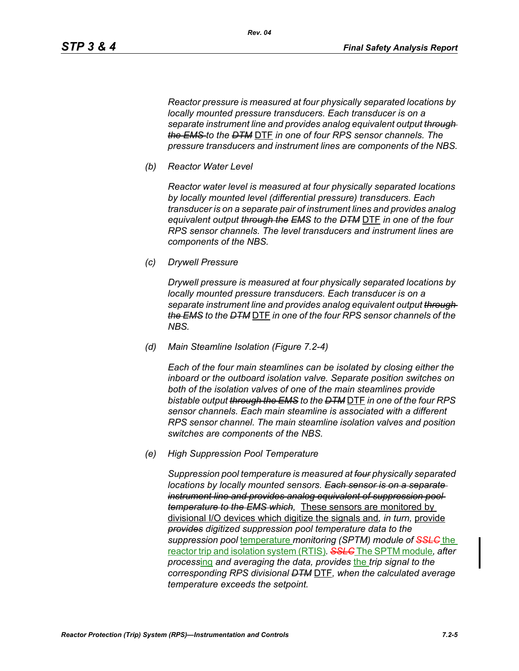*Reactor pressure is measured at four physically separated locations by locally mounted pressure transducers. Each transducer is on a separate instrument line and provides analog equivalent output through the EMS to the DTM* DTF *in one of four RPS sensor channels. The pressure transducers and instrument lines are components of the NBS.*

*Rev. 04*

*(b) Reactor Water Level*

*Reactor water level is measured at four physically separated locations by locally mounted level (differential pressure) transducers. Each transducer is on a separate pair of instrument lines and provides analog equivalent output through the EMS to the DTM* DTF *in one of the four RPS sensor channels. The level transducers and instrument lines are components of the NBS.*

*(c) Drywell Pressure*

*Drywell pressure is measured at four physically separated locations by locally mounted pressure transducers. Each transducer is on a separate instrument line and provides analog equivalent output through the EMS to the DTM* DTF *in one of the four RPS sensor channels of the NBS.*

*(d) Main Steamline Isolation (Figure 7.2-4)*

*Each of the four main steamlines can be isolated by closing either the inboard or the outboard isolation valve. Separate position switches on both of the isolation valves of one of the main steamlines provide bistable output through the EMS to the DTM* DTF *in one of the four RPS sensor channels. Each main steamline is associated with a different RPS sensor channel. The main steamline isolation valves and position switches are components of the NBS.*

*(e) High Suppression Pool Temperature*

*Suppression pool temperature is measured at four physically separated locations by locally mounted sensors. Each sensor is on a separate instrument line and provides analog equivalent of suppression pool temperature to the EMS which,* These sensors are monitored by divisional I/O devices which digitize the signals and*, in turn,* provide *provides digitized suppression pool temperature data to the suppression pool* temperature *monitoring (SPTM) module of SSLC* the reactor trip and isolation system (RTIS)*. SSLC* The SPTM module*, after process*ing *and averaging the data, provides* the *trip signal to the corresponding RPS divisional DTM* DTF*, when the calculated average temperature exceeds the setpoint.*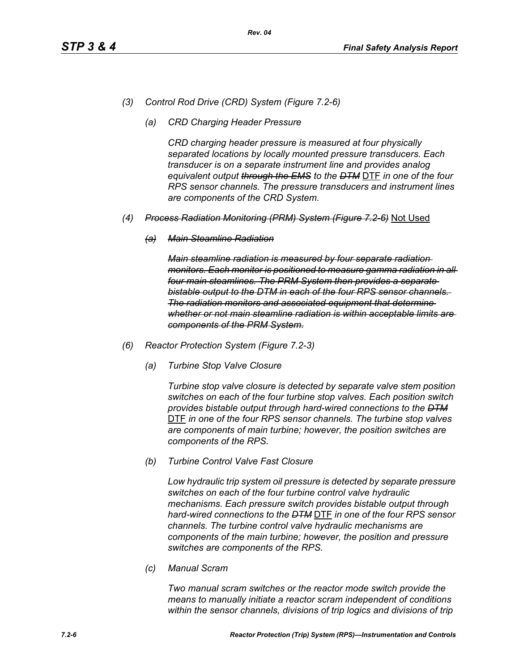- *(3) Control Rod Drive (CRD) System (Figure 7.2-6)*
	- *(a) CRD Charging Header Pressure*

*CRD charging header pressure is measured at four physically separated locations by locally mounted pressure transducers. Each transducer is on a separate instrument line and provides analog equivalent output through the EMS to the DTM* DTF *in one of the four RPS sensor channels. The pressure transducers and instrument lines are components of the CRD System.*

- *(4) Process Radiation Monitoring (PRM) System (Figure 7.2-6)* Not Used
	- *(a) Main Steamline Radiation*

*Main steamline radiation is measured by four separate radiation monitors. Each monitor is positioned to measure gamma radiation in all four main steamlines. The PRM System then provides a separate bistable output to the DTM in each of the four RPS sensor channels. The radiation monitors and associated equipment that determine whether or not main steamline radiation is within acceptable limits are components of the PRM System.*

- *(6) Reactor Protection System (Figure 7.2-3)*
	- *(a) Turbine Stop Valve Closure*

*Turbine stop valve closure is detected by separate valve stem position switches on each of the four turbine stop valves. Each position switch provides bistable output through hard-wired connections to the DTM* DTF *in one of the four RPS sensor channels. The turbine stop valves are components of main turbine; however, the position switches are components of the RPS.*

*(b) Turbine Control Valve Fast Closure*

*Low hydraulic trip system oil pressure is detected by separate pressure switches on each of the four turbine control valve hydraulic mechanisms. Each pressure switch provides bistable output through hard-wired connections to the DTM* DTF *in one of the four RPS sensor channels. The turbine control valve hydraulic mechanisms are components of the main turbine; however, the position and pressure switches are components of the RPS.*

*(c) Manual Scram*

*Two manual scram switches or the reactor mode switch provide the means to manually initiate a reactor scram independent of conditions within the sensor channels, divisions of trip logics and divisions of trip*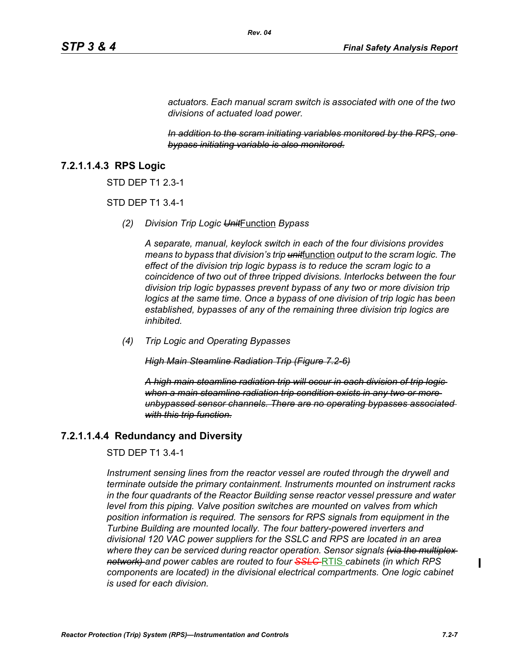*actuators. Each manual scram switch is associated with one of the two divisions of actuated load power.* 

*Rev. 04*

*In addition to the scram initiating variables monitored by the RPS, one bypass initiating variable is also monitored.*

### **7.2.1.1.4.3 RPS Logic**

STD DEP T1 2.3-1

STD DEP T1 3.4-1

*(2) Division Trip Logic Unit*Function *Bypass*

*A separate, manual, keylock switch in each of the four divisions provides means to bypass that division's trip unit*function *output to the scram logic. The effect of the division trip logic bypass is to reduce the scram logic to a coincidence of two out of three tripped divisions. Interlocks between the four division trip logic bypasses prevent bypass of any two or more division trip logics at the same time. Once a bypass of one division of trip logic has been established, bypasses of any of the remaining three division trip logics are inhibited.*

*(4) Trip Logic and Operating Bypasses*

*High Main Steamline Radiation Trip (Figure 7.2-6)*

*A high main steamline radiation trip will occur in each division of trip logic when a main steamline radiation trip condition exists in any two or more unbypassed sensor channels. There are no operating bypasses associated with this trip function.*

### **7.2.1.1.4.4 Redundancy and Diversity**

#### STD DEP T1 3.4-1

*Instrument sensing lines from the reactor vessel are routed through the drywell and terminate outside the primary containment. Instruments mounted on instrument racks in the four quadrants of the Reactor Building sense reactor vessel pressure and water level from this piping. Valve position switches are mounted on valves from which position information is required. The sensors for RPS signals from equipment in the Turbine Building are mounted locally. The four battery-powered inverters and divisional 120 VAC power suppliers for the SSLC and RPS are located in an area where they can be serviced during reactor operation. Sensor signals (via the multiplex network) and power cables are routed to four SSLC* RTIS *cabinets (in which RPS components are located) in the divisional electrical compartments. One logic cabinet is used for each division.*

I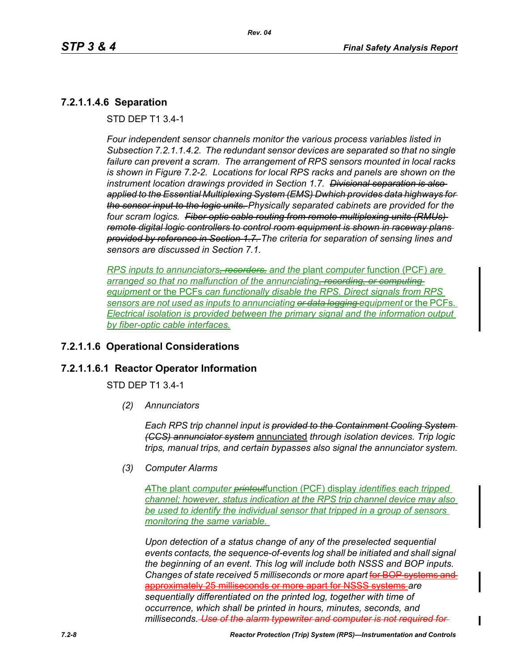## **7.2.1.1.4.6 Separation**

STD DEP T1 3.4-1

*Four independent sensor channels monitor the various process variables listed in Subsection 7.2.1.1.4.2. The redundant sensor devices are separated so that no single failure can prevent a scram. The arrangement of RPS sensors mounted in local racks is shown in Figure 7.2-2. Locations for local RPS racks and panels are shown on the instrument location drawings provided in Section 1.7. Divisional separation is also applied to the Essential Multiplexing System (EMS) Dwhich provides data highways for the sensor input to the logic units. Physically separated cabinets are provided for the four scram logics. Fiber optic cable routing from remote multiplexing units (RMUs) remote digital logic controllers to control room equipment is shown in raceway plans provided by reference in Section 1.7. The criteria for separation of sensing lines and sensors are discussed in Section 7.1.*

*RPS inputs to annunciators, recorders, and the* plant *computer* function (PCF) *are arranged so that no malfunction of the annunciating, recording, or computing equipment* or the PCFs *can functionally disable the RPS. Direct signals from RPS sensors are not used as inputs to annunciating or data logging equipment* or the PCFs*. Electrical isolation is provided between the primary signal and the information output by fiber-optic cable interfaces.*

## **7.2.1.1.6 Operational Considerations**

### **7.2.1.1.6.1 Reactor Operator Information**

STD DEP T1 3.4-1

*(2) Annunciators*

*Each RPS trip channel input is provided to the Containment Cooling System (CCS) annunciator system* annunciated *through isolation devices. Trip logic trips, manual trips, and certain bypasses also signal the annunciator system.*

*(3) Computer Alarms*

*A*The plant *computer printout*function (PCF) display *identifies each tripped channel; however, status indication at the RPS trip channel device may also be used to identify the individual sensor that tripped in a group of sensors monitoring the same variable.* 

*Upon detection of a status change of any of the preselected sequential events contacts, the sequence-of-events log shall be initiated and shall signal the beginning of an event. This log will include both NSSS and BOP inputs. Changes of state received 5 milliseconds or more apart* for BOP systems and approximately 25 milliseconds or more apart for NSSS systems *are sequentially differentiated on the printed log, together with time of occurrence, which shall be printed in hours, minutes, seconds, and milliseconds. Use of the alarm typewriter and computer is not required for*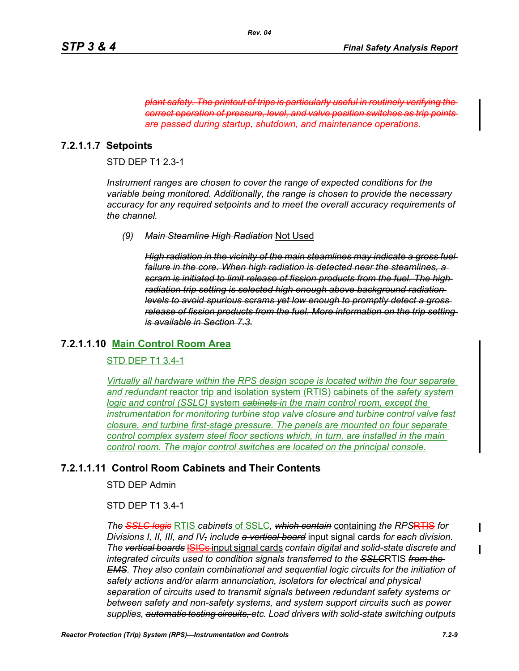plant safety. The printout of trips is particularly useful in routinely verify *correct operation of pressure, level, and valve position switches as trip points are passed during startup, shutdown, and maintenance operations.*

## **7.2.1.1.7 Setpoints**

STD DEP T1 2.3-1

*Instrument ranges are chosen to cover the range of expected conditions for the variable being monitored. Additionally, the range is chosen to provide the necessary accuracy for any required setpoints and to meet the overall accuracy requirements of the channel.*

*(9) Main Steamline High Radiation* Not Used

*High radiation in the vicinity of the main steamlines may indicate a gross fuel failure in the core. When high radiation is detected near the steamlines, a scram is initiated to limit release of fission products from the fuel. The high radiation trip setting is selected high enough above background radiation levels to avoid spurious scrams yet low enough to promptly detect a gross release of fission products from the fuel. More information on the trip setting is available in Section 7.3.*

## **7.2.1.1.10 Main Control Room Area**

### STD DEP T1 3.4-1

*Virtually all hardware within the RPS design scope is located within the four separate and redundant* reactor trip and isolation system (RTIS) cabinets of the *safety system logic and control (SSLC)* system *cabinets in the main control room, except the instrumentation for monitoring turbine stop valve closure and turbine control valve fast closure, and turbine first-stage pressure. The panels are mounted on four separate control complex system steel floor sections which, in turn, are installed in the main control room. The major control switches are located on the principal console.*

## **7.2.1.1.11 Control Room Cabinets and Their Contents**

STD DEP Admin

STD DEP T1 3.4-1

*The SSLC logic* RTIS *cabinets* of SSLC*, which contain* containing *the RPS*RTIS *for Divisions I, II, III, and IV, include a vertical board* input signal cards *for each division. The vertical boards* ISICs input signal cards *contain digital and solid-state discrete and integrated circuits used to condition signals transferred to the SSLC*RTIS *from the EMS. They also contain combinational and sequential logic circuits for the initiation of safety actions and/or alarm annunciation, isolators for electrical and physical separation of circuits used to transmit signals between redundant safety systems or between safety and non-safety systems, and system support circuits such as power supplies, automatic testing circuits, etc. Load drivers with solid-state switching outputs*   $\blacksquare$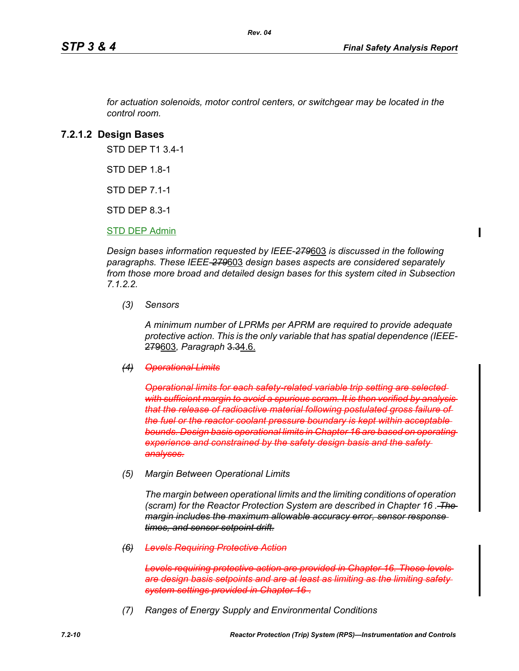*for actuation solenoids, motor control centers, or switchgear may be located in the control room.*

*Rev. 04*

### **7.2.1.2 Design Bases**

STD DEP T1 3.4-1

STD DFP 18-1

STD DEP 7.1-1

STD DEP 8.3-1

STD DEP Admin

*Design bases information requested by IEEE-279*603 *is discussed in the following paragraphs. These IEEE-279*603 *design bases aspects are considered separately from those more broad and detailed design bases for this system cited in Subsection 7.1.2.2.*

*(3) Sensors*

*A minimum number of LPRMs per APRM are required to provide adequate protective action. This is the only variable that has spatial dependence (IEEE-*279603*, Paragraph* 3.34.6.

#### *(4) Operational Limits*

**Operational limits for each safety related variable trip setting are selecte** *with sufficient margin to avoid a spurious scram. It is then verified by analysis that the release of radioactive material following postulated gross failure of the fuel or the reactor coolant pressure boundary is kept within acceptable bounds. Design basis operational limits in Chapter 16 are based on operating experience and constrained by the safety design basis and the safety analyses.*

*(5) Margin Between Operational Limits*

*The margin between operational limits and the limiting conditions of operation (scram) for the Reactor Protection System are described in Chapter 16 . The margin includes the maximum allowable accuracy error, sensor response times, and sensor setpoint drift.*

*(6) Levels Requiring Protective Action*

*Levels requiring protective action are provided in Chapter 16. These levels are design basis setpoints and are at least as limiting as the limiting safety system settings provided in Chapter 16* .

*(7) Ranges of Energy Supply and Environmental Conditions*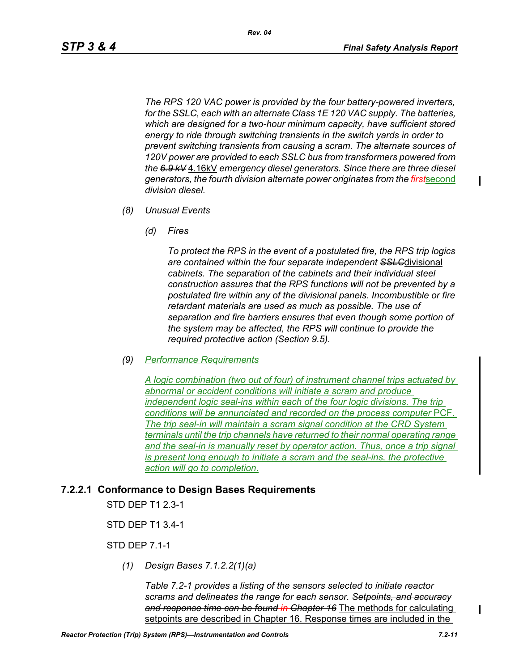*The RPS 120 VAC power is provided by the four battery-powered inverters, for the SSLC, each with an alternate Class 1E 120 VAC supply. The batteries, which are designed for a two-hour minimum capacity, have sufficient stored energy to ride through switching transients in the switch yards in order to prevent switching transients from causing a scram. The alternate sources of 120V power are provided to each SSLC bus from transformers powered from the 6.9 kV* 4.16kV *emergency diesel generators. Since there are three diesel generators, the fourth division alternate power originates from the first*second *division diesel.*

- *(8) Unusual Events*
	- *(d) Fires*

*To protect the RPS in the event of a postulated fire, the RPS trip logics are contained within the four separate independent SSLC*divisional *cabinets. The separation of the cabinets and their individual steel construction assures that the RPS functions will not be prevented by a postulated fire within any of the divisional panels. Incombustible or fire retardant materials are used as much as possible. The use of separation and fire barriers ensures that even though some portion of the system may be affected, the RPS will continue to provide the required protective action (Section 9.5).*

*(9) Performance Requirements*

*A logic combination (two out of four) of instrument channel trips actuated by abnormal or accident conditions will initiate a scram and produce independent logic seal-ins within each of the four logic divisions. The trip conditions will be annunciated and recorded on the process computer* PCF*. The trip seal-in will maintain a scram signal condition at the CRD System terminals until the trip channels have returned to their normal operating range and the seal-in is manually reset by operator action. Thus, once a trip signal is present long enough to initiate a scram and the seal-ins, the protective action will go to completion.*

### **7.2.2.1 Conformance to Design Bases Requirements**

STD DEP T1 2.3-1

STD DEP T1 3.4-1

STD DEP 7.1-1

*(1) Design Bases 7.1.2.2(1)(a)*

*Table 7.2-1 provides a listing of the sensors selected to initiate reactor scrams and delineates the range for each sensor. Setpoints, and accuracy and response time can be found in Chapter 16* The methods for calculating setpoints are described in Chapter 16. Response times are included in the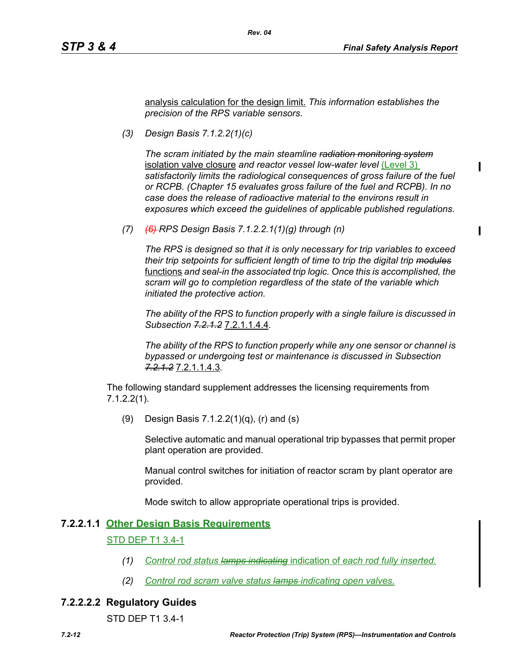ı

analysis calculation for the design limit. *This information establishes the precision of the RPS variable sensors.*

*(3) Design Basis 7.1.2.2(1)(c)*

*The scram initiated by the main steamline radiation monitoring system* isolation valve closure *and reactor vessel low-water level* (Level 3) *satisfactorily limits the radiological consequences of gross failure of the fuel or RCPB. (Chapter 15 evaluates gross failure of the fuel and RCPB). In no case does the release of radioactive material to the environs result in exposures which exceed the guidelines of applicable published regulations.*

*(7) (6) RPS Design Basis 7.1.2.2.1(1)(g) through (n)*

*The RPS is designed so that it is only necessary for trip variables to exceed their trip setpoints for sufficient length of time to trip the digital trip modules* functions *and seal-in the associated trip logic. Once this is accomplished, the scram will go to completion regardless of the state of the variable which initiated the protective action.*

*The ability of the RPS to function properly with a single failure is discussed in Subsection 7.2.1.2* 7.2.1.1.4.4*.*

*The ability of the RPS to function properly while any one sensor or channel is bypassed or undergoing test or maintenance is discussed in Subsection 7.2.1.2* 7.2.1.1.4.3*.*

The following standard supplement addresses the licensing requirements from 7.1.2.2(1).

(9) Design Basis 7.1.2.2(1)(q), (r) and (s)

Selective automatic and manual operational trip bypasses that permit proper plant operation are provided.

Manual control switches for initiation of reactor scram by plant operator are provided.

Mode switch to allow appropriate operational trips is provided.

#### **7.2.2.1.1 Other Design Basis Requirements**

#### STD DEP T1 3.4-1

- *(1) Control rod status lamps indicating* indication of *each rod fully inserted.*
- *(2) Control rod scram valve status lamps indicating open valves.*

#### **7.2.2.2.2 Regulatory Guides**

STD DEP T1 3.4-1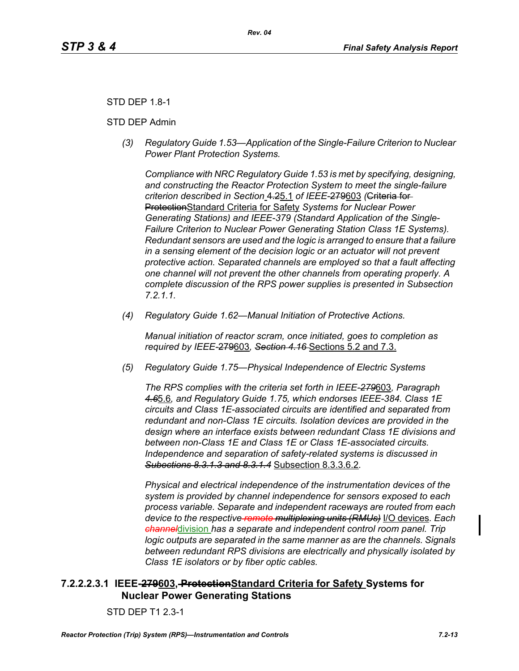## STD DEP 1.8-1

#### STD DEP Admin

*(3) Regulatory Guide 1.53—Application of the Single-Failure Criterion to Nuclear Power Plant Protection Systems.*

*Compliance with NRC Regulatory Guide 1.53 is met by specifying, designing, and constructing the Reactor Protection System to meet the single-failure criterion described in Section* 4.25.1 *of IEEE-*279603 *(*Criteria for ProtectionStandard Criteria for Safety *Systems for Nuclear Power Generating Stations) and IEEE-379 (Standard Application of the Single-Failure Criterion to Nuclear Power Generating Station Class 1E Systems). Redundant sensors are used and the logic is arranged to ensure that a failure in a sensing element of the decision logic or an actuator will not prevent protective action. Separated channels are employed so that a fault affecting one channel will not prevent the other channels from operating properly. A complete discussion of the RPS power supplies is presented in Subsection 7.2.1.1.*

*(4) Regulatory Guide 1.62—Manual Initiation of Protective Actions.*

*Manual initiation of reactor scram, once initiated, goes to completion as required by IEEE-*279603*, Section 4.16* Sections 5.2 and 7.3.

*(5) Regulatory Guide 1.75—Physical Independence of Electric Systems*

*The RPS complies with the criteria set forth in IEEE-279*603*, Paragraph 4.6*5.6*, and Regulatory Guide 1.75, which endorses IEEE-384. Class 1E circuits and Class 1E-associated circuits are identified and separated from redundant and non-Class 1E circuits. Isolation devices are provided in the design where an interface exists between redundant Class 1E divisions and between non-Class 1E and Class 1E or Class 1E-associated circuits. Independence and separation of safety-related systems is discussed in Subections 8.3.1.3 and 8.3.1.4* Subsection 8.3.3.6.2*.*

*Physical and electrical independence of the instrumentation devices of the system is provided by channel independence for sensors exposed to each process variable. Separate and independent raceways are routed from each device to the respective remote multiplexing units (RMUs)* I/O devices*. Each channel*division *has a separate and independent control room panel. Trip logic outputs are separated in the same manner as are the channels. Signals between redundant RPS divisions are electrically and physically isolated by Class 1E isolators or by fiber optic cables.*

## **7.2.2.2.3.1 IEEE-279603, ProtectionStandard Criteria for Safety Systems for Nuclear Power Generating Stations**

STD DEP T1 2.3-1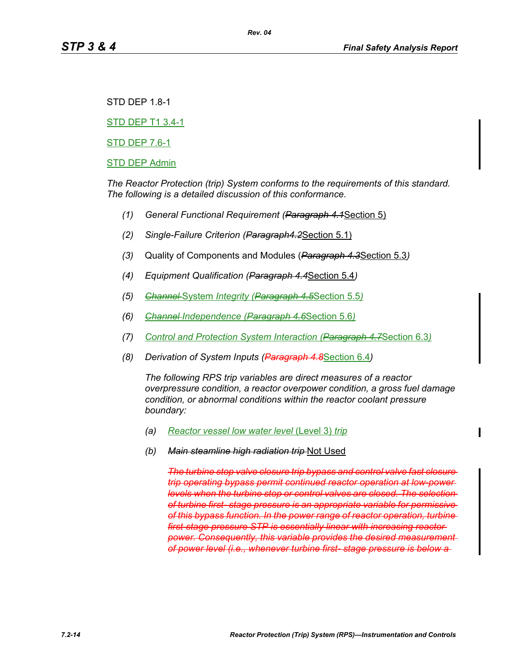STD DEP 1.8-1

STD DEP T1 3.4-1

STD DEP 7.6-1

#### STD DEP Admin

*The Reactor Protection (trip) System conforms to the requirements of this standard. The following is a detailed discussion of this conformance.*

*(1) General Functional Requirement (Paragraph 4.1*Section 5)

*Rev. 04*

- *(2) Single-Failure Criterion (Paragraph4.2*Section 5.1)
- *(3)* Quality of Components and Modules (*Paragraph 4.3*Section 5.3*)*
- *(4) Equipment Qualification (Paragraph 4.4*Section 5.4*)*
- *(5) Channel* System *Integrity (Paragraph 4.5*Section 5.5*)*
- *(6) Channel Independence (Paragraph 4.6*Section 5.6*)*
- *(7) Control and Protection System Interaction (Paragraph 4.7*Section 6.3*)*
- *(8) Derivation of System Inputs (Paragraph 4.8*Section 6.4*)*

*The following RPS trip variables are direct measures of a reactor overpressure condition, a reactor overpower condition, a gross fuel damage condition, or abnormal conditions within the reactor coolant pressure boundary:*

- *(a) Reactor vessel low water level* (Level 3) *trip*
- *(b) Main steamline high radiation trip* Not Used

*The turbine stop valve closure trip bypass and control valve fast closure trip operating bypass permit continued reactor operation at low-power levels when the turbine stop or control valves are closed. The selection of turbine first- stage pressure is an appropriate variable for permissive of this bypass function. In the power range of reactor operation, turbine first-stage pressure STP is essentially linear with increasing reactor power. Consequently, this variable provides the desired measurement of power level (i.e., whenever turbine first- stage pressure is below a*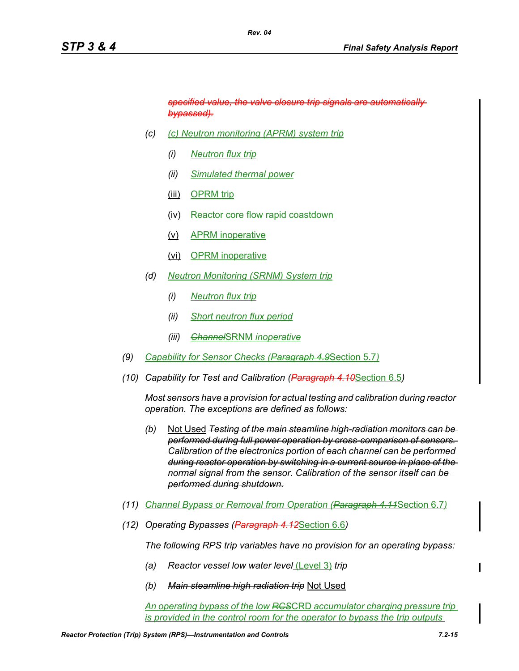*specified value, the valve closure trip signals are automatically bypassed).*

*(c) (c) Neutron monitoring (APRM) system trip*

*Rev. 04*

- *(i) Neutron flux trip*
- *(ii) Simulated thermal power*
- (iii) OPRM trip
- (iv) Reactor core flow rapid coastdown
- (v) APRM inoperative
- (vi) OPRM inoperative
- *(d) Neutron Monitoring (SRNM) System trip*
	- *(i) Neutron flux trip*
	- *(ii) Short neutron flux period*
	- *(iii) Channel*SRNM *inoperative*
- *(9) Capability for Sensor Checks (Paragraph 4.9*Section 5.7*)*
- *(10) Capability for Test and Calibration (Paragraph 4.10*Section 6.5*)*

*Most sensors have a provision for actual testing and calibration during reactor operation. The exceptions are defined as follows:*

- *(b)* Not Used *Testing of the main steamline high-radiation monitors can be performed during full power operation by cross-comparison of sensors. Calibration of the electronics portion of each channel can be performed during reactor operation by switching in a current source in place of the normal signal from the sensor. Calibration of the sensor itself can be performed during shutdown.*
- *(11) Channel Bypass or Removal from Operation (Paragraph 4.11*Section 6.7*)*
- *(12) Operating Bypasses (Paragraph 4.12*Section 6.6*)*

*The following RPS trip variables have no provision for an operating bypass:*

- *(a) Reactor vessel low water level* (Level 3) *trip*
- *(b) Main steamline high radiation trip* Not Used

*An operating bypass of the low RCS*CRD *accumulator charging pressure trip is provided in the control room for the operator to bypass the trip outputs*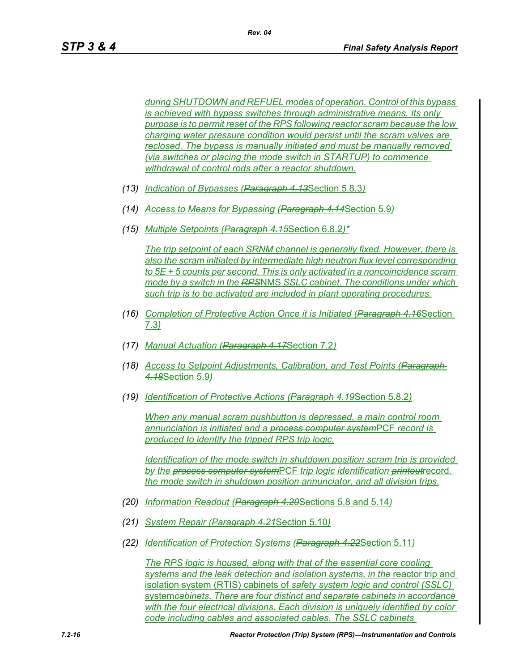*during SHUTDOWN and REFUEL modes of operation. Control of this bypass is achieved with bypass switches through administrative means. Its only purpose is to permit reset of the RPS following reactor scram because the low charging water pressure condition would persist until the scram valves are reclosed. The bypass is manually initiated and must be manually removed (via switches or placing the mode switch in STARTUP) to commence withdrawal of control rods after a reactor shutdown.*

- *(13) Indication of Bypasses (Paragraph 4.13*Section 5.8.3*)*
- *(14) Access to Means for Bypassing (Paragraph 4.14*Section 5.9*)*
- *(15) Multiple Setpoints (Paragraph 4.15*Section 6.8.2*)\**

*The trip setpoint of each SRNM channel is generally fixed. However, there is also the scram initiated by intermediate high neutron flux level corresponding to 5E + 5 counts per second. This is only activated in a noncoincidence scram mode by a switch in the RPS*NMS *SSLC cabinet. The conditions under which such trip is to be activated are included in plant operating procedures.*

- *(16) Completion of Protective Action Once it is Initiated (Paragraph 4.16*Section 7.3*)*
- *(17) Manual Actuation (Paragraph 4.17*Section 7.2*)*
- *(18) Access to Setpoint Adjustments, Calibration, and Test Points (Paragraph 4.18*Section 5.9*)*
- *(19) Identification of Protective Actions (Paragraph 4.19*Section 5.8.2*)*

*When any manual scram pushbutton is depressed, a main control room annunciation is initiated and a process computer system*PCF *record is produced to identify the tripped RPS trip logic.*

*Identification of the mode switch in shutdown position scram trip is provided by the process computer system*PCF *trip logic identification printout*record*, the mode switch in shutdown position annunciator, and all division trips.*

- *(20) Information Readout (Paragraph 4.20*Sections 5.8 and 5.14*)*
- *(21) System Repair (Paragraph 4.21*Section 5.10*)*
- *(22) Identification of Protection Systems (Paragraph 4.22*Section 5.11*)*

*The RPS logic is housed, along with that of the essential core cooling systems and the leak detection and isolation systems, in the* reactor trip and isolation system (RTIS) cabinets of *safety system logic and control (SSLC)*  system*cabinets. There are four distinct and separate cabinets in accordance with the four electrical divisions. Each division is uniquely identified by color code including cables and associated cables. The SSLC cabinets*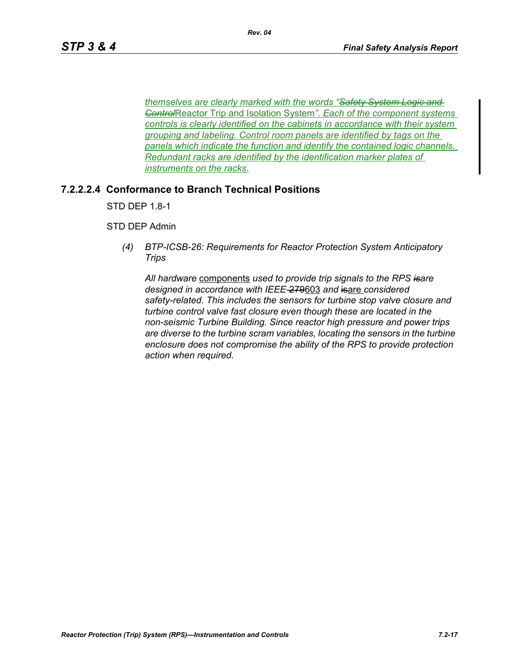*themselves are clearly marked with the words "Safety System Logic and Control*Reactor Trip and Isolation System*". Each of the component systems controls is clearly identified on the cabinets in accordance with their system grouping and labeling. Control room panels are identified by tags on the panels which indicate the function and identify the contained logic channels. Redundant racks are identified by the identification marker plates of instruments on the racks.*

## **7.2.2.2.4 Conformance to Branch Technical Positions**

STD DEP 1.8-1

STD DEP Admin

*(4) BTP-ICSB-26: Requirements for Reactor Protection System Anticipatory Trips*

*All hardware* components *used to provide trip signals to the RPS isare designed in accordance with IEEE-*279603 *and* isare *considered safety-related. This includes the sensors for turbine stop valve closure and turbine control valve fast closure even though these are located in the non-seismic Turbine Building. Since reactor high pressure and power trips are diverse to the turbine scram variables, locating the sensors in the turbine enclosure does not compromise the ability of the RPS to provide protection action when required.*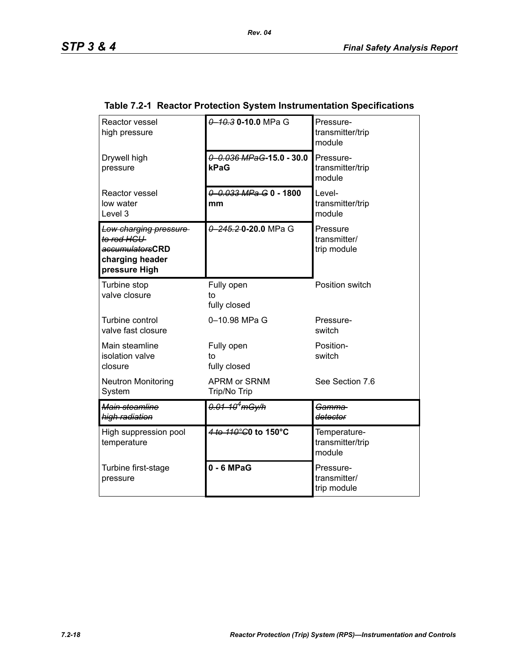| Reactor vessel<br>high pressure                                                            | 0 10.3 0 - 10.0 MPa G                | Pressure-<br>transmitter/trip<br>module    |
|--------------------------------------------------------------------------------------------|--------------------------------------|--------------------------------------------|
| Drywell high<br>pressure                                                                   | $0 - 0.036$ MPaG-15.0 - 30.0<br>kPaG | Pressure-<br>transmitter/trip<br>module    |
| Reactor vessel<br>low water<br>Level 3                                                     | 0 0.033 MPa G 0 - 1800<br>mm         | Level-<br>transmitter/trip<br>module       |
| Low charging pressure<br>to rod HCU<br>accumulatorsCRD<br>charging header<br>pressure High | 0 245.2 0 20.0 MPa G                 | Pressure<br>transmitter/<br>trip module    |
| Turbine stop<br>valve closure                                                              | Fully open<br>to<br>fully closed     | Position switch                            |
| Turbine control<br>valve fast closure                                                      | 0-10.98 MPa G                        | Pressure-<br>switch                        |
| Main steamline<br>isolation valve<br>closure                                               | Fully open<br>to<br>fully closed     | Position-<br>switch                        |
| <b>Neutron Monitoring</b><br>System                                                        | <b>APRM or SRNM</b><br>Trip/No Trip  | See Section 7.6                            |
| Main steamline<br>high radiation                                                           | $0.01 - 10^4$ mGy/h                  | <del>Gamma-</del><br>detector              |
| High suppression pool<br>temperature                                                       | 4 to 110°C0 to 150°C                 | Temperature-<br>transmitter/trip<br>module |
| Turbine first-stage<br>pressure                                                            | $0 - 6$ MPaG                         | Pressure-<br>transmitter/<br>trip module   |

## **Table 7.2-1 Reactor Protection System Instrumentation Specifications**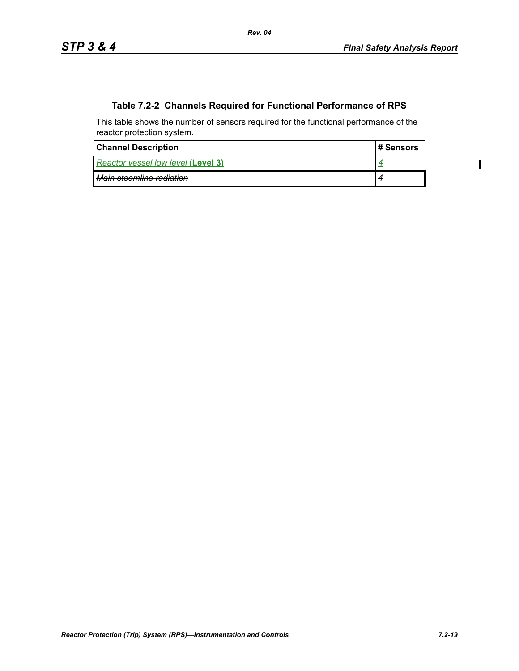$\blacksquare$ 

# **Table 7.2-2 Channels Required for Functional Performance of RPS**

| This table shows the number of sensors required for the functional performance of the<br>reactor protection system. |           |  |  |
|---------------------------------------------------------------------------------------------------------------------|-----------|--|--|
| <b>Channel Description</b>                                                                                          | # Sensors |  |  |
| Reactor vessel low level (Level 3)                                                                                  |           |  |  |
| Main steamline radiation                                                                                            |           |  |  |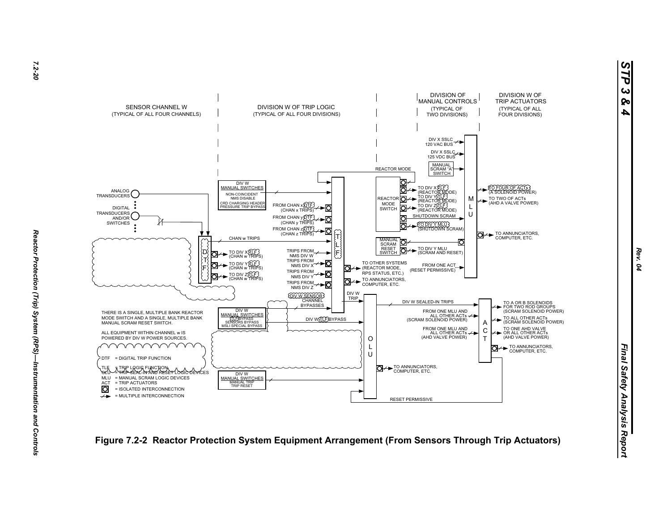



*STP 3 & 4*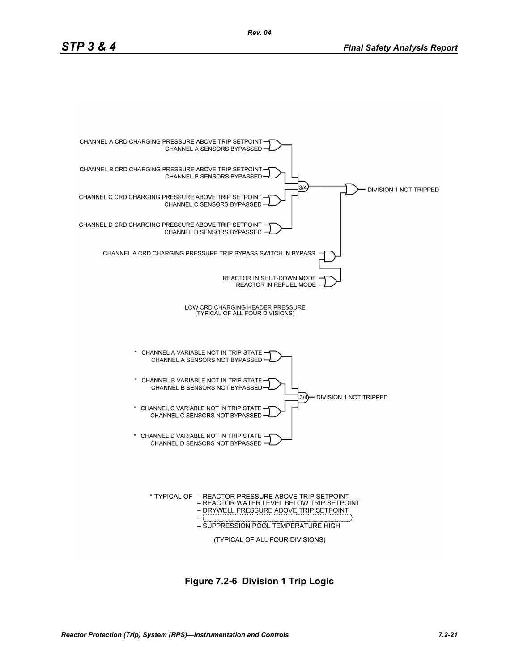

**Figure 7.2-6 Division 1 Trip Logic**